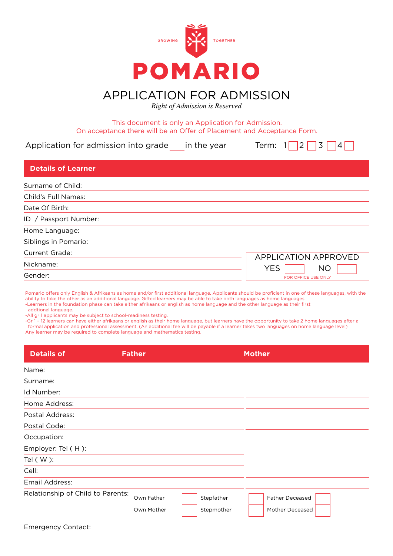

APPLICATION FOR ADMISSION

*Right of Admission is Reserved*

## This document is only an Application for Admission. On acceptance there will be an Offer of Placement and Acceptance Form.

Application for admission into grade in the year Term:  $1 \square 2 \square 3 \square 4 \square$ 

| <b>Details of Learner</b> |                             |
|---------------------------|-----------------------------|
| Surname of Child:         |                             |
| Child's Full Names:       |                             |
| Date Of Birth:            |                             |
| ID / Passport Number:     |                             |
| Home Language:            |                             |
| Siblings in Pomario:      |                             |
| <b>Current Grade:</b>     | <b>APPLICATION APPROVED</b> |
| Nickname:                 | <b>YES</b><br><b>NO</b>     |
| Gender:                   | FOR OFFICE USE ONLY         |

| Pomario offers only English & Afrikaans as home and/or first additional language. Applicants should be proficient in one of these languages, with the |  |
|-------------------------------------------------------------------------------------------------------------------------------------------------------|--|
| ability to take the other as an additional language. Gifted learners may be able to take both languages as home languages                             |  |
| -Learners in the foundation phase can take either afrikaans or english as home language and the other language as their first                         |  |

addtional language.

-All gr 1 applicants may be subject to school-readiness testing.

-Gr 1 – 12 learners can have either afrikaans or english as their home language, but learners have the opportunity to take 2 home languages after a formal application and professional assessment. (An additional fee will be payable if a learner takes two languages on home language level) Any learner may be required to complete language and mathematics testing.

| <b>Details of</b>                 | <b>Father</b>            |                          | <b>Mother</b>                             |
|-----------------------------------|--------------------------|--------------------------|-------------------------------------------|
| Name:                             |                          |                          |                                           |
| Surname:                          |                          |                          |                                           |
| Id Number:                        |                          |                          |                                           |
| Home Address:                     |                          |                          |                                           |
| Postal Address:                   |                          |                          |                                           |
| Postal Code:                      |                          |                          |                                           |
| Occupation:                       |                          |                          |                                           |
| Employer: Tel (H):                |                          |                          |                                           |
| Tel $(W)$ :                       |                          |                          |                                           |
| Cell:                             |                          |                          |                                           |
| Email Address:                    |                          |                          |                                           |
| Relationship of Child to Parents: | Own Father<br>Own Mother | Stepfather<br>Stepmother | <b>Father Deceased</b><br>Mother Deceased |
| <b>Emergency Contact:</b>         |                          |                          |                                           |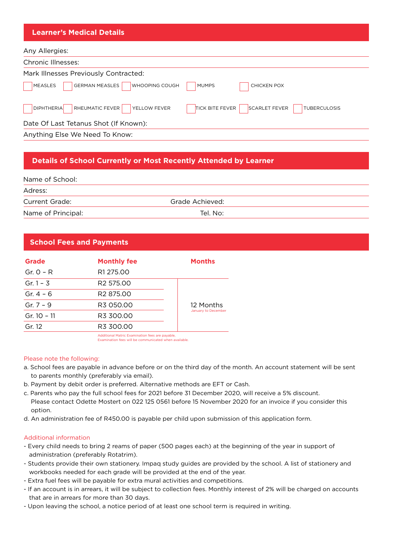| <b>Learner's Medical Details</b>                                                                                              |
|-------------------------------------------------------------------------------------------------------------------------------|
| Any Allergies:                                                                                                                |
| Chronic Illnesses:                                                                                                            |
| Mark Illnesses Previously Contracted:                                                                                         |
| GERMAN MEASLES<br><b>WHOOPING COUGH</b><br>MEASLES<br><b>CHICKEN POX</b><br><b>MUMPS</b>                                      |
| RHEUMATIC FEVER<br><b>DIPHTHERIA</b><br><b>SCARLET FEVER</b><br><b>TICK BITE FEVER</b><br>YELLOW FEVER<br><b>TUBERCULOSIS</b> |
| Date Of Last Tetanus Shot (If Known):                                                                                         |
| Anything Else We Need To Know:                                                                                                |

# **Details of School Currently or Most Recently Attended by Learner**

| Name of School: |  |
|-----------------|--|
| Adress:         |  |
| Current Grade:  |  |

Name of Principal: Tel. No:

Grade Achieved:

## **School Fees and Payments**

| <b>Grade</b> | <b>Monthly fee</b>    | <b>Months</b>       |
|--------------|-----------------------|---------------------|
| Gr. $O - R$  | R1 275.00             |                     |
| Gr. $1 - 3$  | R <sub>2</sub> 575.00 |                     |
| Gr. $4 - 6$  | R <sub>2</sub> 875.00 |                     |
| Gr. $7 - 9$  | R3 050.00             | 12 Months           |
| Gr. 10 - 11  | R3 300.00             | January to December |
| Gr. 12       | R3 300.00             |                     |
|              |                       |                     |

**Aditional Matric Examination fees are payable** Examination fees will be communicated when available.

#### Please note the following:

- a. School fees are payable in advance before or on the third day of the month. An account statement will be sent to parents monthly (preferably via email).
- b. Payment by debit order is preferred. Alternative methods are EFT or Cash.
- c. Parents who pay the full school fees for 2021 before 31 December 2020, will receive a 5% discount. Please contact Odette Mostert on 022 125 0561 before 15 November 2020 for an invoice if you consider this option.
- d. An administration fee of R450.00 is payable per child upon submission of this application form.

#### Additional information

- Every child needs to bring 2 reams of paper (500 pages each) at the beginning of the year in support of administration (preferably Rotatrim).
- Students provide their own stationery. Impaq study guides are provided by the school. A list of stationery and workbooks needed for each grade will be provided at the end of the year.
- Extra fuel fees will be payable for extra mural activities and competitions.
- If an account is in arrears, it will be subject to collection fees. Monthly interest of 2% will be charged on accounts that are in arrears for more than 30 days.
- Upon leaving the school, a notice period of at least one school term is required in writing.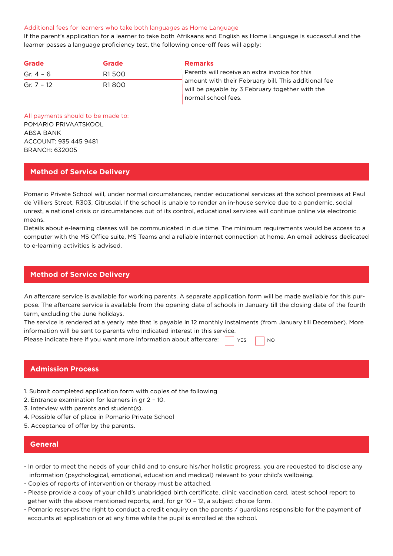#### Additional fees for learners who take both languages as Home Language

If the parent's application for a learner to take both Afrikaans and English as Home Language is successful and the learner passes a language proficiency test, the following once-off fees will apply:

| <b>Grade</b> | Grade | <b>Remarks</b>                                                                                          |
|--------------|-------|---------------------------------------------------------------------------------------------------------|
| Gr. $4 - 6$  | R1500 | Parents will receive an extra invoice for this                                                          |
| Gr. $7 - 12$ | R1800 | amount with their February bill. This additional fee<br>will be payable by 3 February together with the |
|              |       | normal school fees.                                                                                     |

All payments should to be made to: POMARIO PRIVAATSKOOL ABSA BANK ACCOUNT: 935 445 9481 BRANCH: 632005

## **Method of Service Delivery**

Pomario Private School will, under normal circumstances, render educational services at the school premises at Paul de Villiers Street, R303, Citrusdal. If the school is unable to render an in-house service due to a pandemic, social unrest, a national crisis or circumstances out of its control, educational services will continue online via electronic means.

Details about e-learning classes will be communicated in due time. The minimum requirements would be access to a computer with the MS Office suite, MS Teams and a reliable internet connection at home. An email address dedicated to e-learning activities is advised.

## **Method of Service Delivery**

An aftercare service is available for working parents. A separate application form will be made available for this purpose. The aftercare service is available from the opening date of schools in January till the closing date of the fourth term, excluding the June holidays.

The service is rendered at a yearly rate that is payable in 12 monthly instalments (from January till December). More information will be sent to parents who indicated interest in this service.

YES NO

Please indicate here if you want more information about aftercare:

|  | <b>Admission Process</b> |  |  |
|--|--------------------------|--|--|
|  |                          |  |  |

- 1. Submit completed application form with copies of the following
- 2. Entrance examination for learners in gr 2 10.
- 3. Interview with parents and student(s).
- 4. Possible offer of place in Pomario Private School
- 5. Acceptance of offer by the parents.

#### **General**

- In order to meet the needs of your child and to ensure his/her holistic progress, you are requested to disclose any information (psychological, emotional, education and medical) relevant to your child's wellbeing.
- Copies of reports of intervention or therapy must be attached.
- Please provide a copy of your child's unabridged birth certificate, clinic vaccination card, latest school report to gether with the above mentioned reports, and, for gr 10 – 12, a subject choice form.
- Pomario reserves the right to conduct a credit enquiry on the parents / guardians responsible for the payment of accounts at application or at any time while the pupil is enrolled at the school.